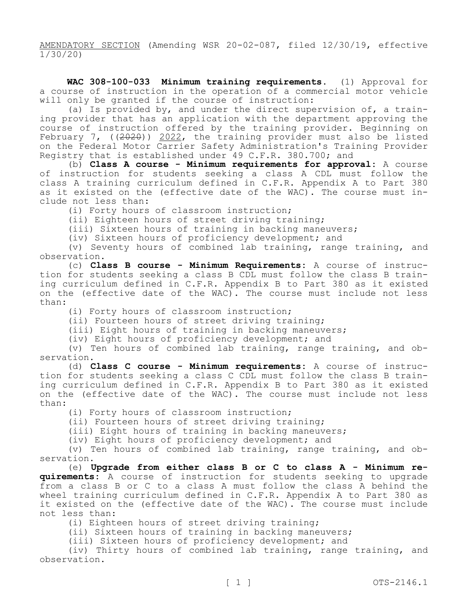AMENDATORY SECTION (Amending WSR 20-02-087, filed 12/30/19, effective 1/30/20)

**WAC 308-100-033 Minimum training requirements.** (1) Approval for a course of instruction in the operation of a commercial motor vehicle will only be granted if the course of instruction:

(a) Is provided by, and under the direct supervision of, a training provider that has an application with the department approving the course of instruction offered by the training provider. Beginning on February 7, ((2020)) 2022, the training provider must also be listed on the Federal Motor Carrier Safety Administration's Training Provider Registry that is established under 49 C.F.R. 380.700; and

(b) **Class A course - Minimum requirements for approval:** A course of instruction for students seeking a class A CDL must follow the class A training curriculum defined in C.F.R. Appendix A to Part 380 as it existed on the (effective date of the WAC). The course must include not less than:

(i) Forty hours of classroom instruction;

(ii) Eighteen hours of street driving training;

(iii) Sixteen hours of training in backing maneuvers;

(iv) Sixteen hours of proficiency development; and

(v) Seventy hours of combined lab training, range training, and observation.

(c) **Class B course - Minimum Requirements:** A course of instruction for students seeking a class B CDL must follow the class B training curriculum defined in C.F.R. Appendix B to Part 380 as it existed on the (effective date of the WAC). The course must include not less than:

(i) Forty hours of classroom instruction;

(ii) Fourteen hours of street driving training;

(iii) Eight hours of training in backing maneuvers;

(iv) Eight hours of proficiency development; and

(v) Ten hours of combined lab training, range training, and observation.

(d) **Class C course - Minimum requirements:** A course of instruction for students seeking a class C CDL must follow the class B training curriculum defined in C.F.R. Appendix B to Part 380 as it existed on the (effective date of the WAC). The course must include not less than:

(i) Forty hours of classroom instruction;

(ii) Fourteen hours of street driving training;

(iii) Eight hours of training in backing maneuvers;

(iv) Eight hours of proficiency development; and

(v) Ten hours of combined lab training, range training, and observation.

(e) **Upgrade from either class B or C to class A - Minimum requirements:** A course of instruction for students seeking to upgrade from a class B or C to a class A must follow the class A behind the wheel training curriculum defined in C.F.R. Appendix A to Part 380 as it existed on the (effective date of the WAC). The course must include not less than:

(i) Eighteen hours of street driving training;

(ii) Sixteen hours of training in backing maneuvers;

(iii) Sixteen hours of proficiency development; and

(iv) Thirty hours of combined lab training, range training, and observation.